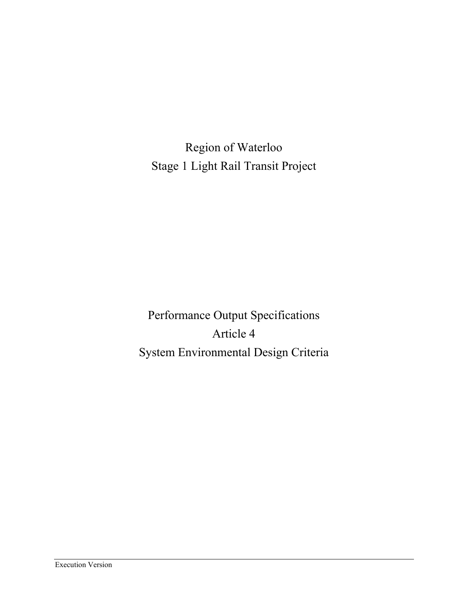Region of Waterloo Stage 1 Light Rail Transit Project

Performance Output Specifications Article 4 System Environmental Design Criteria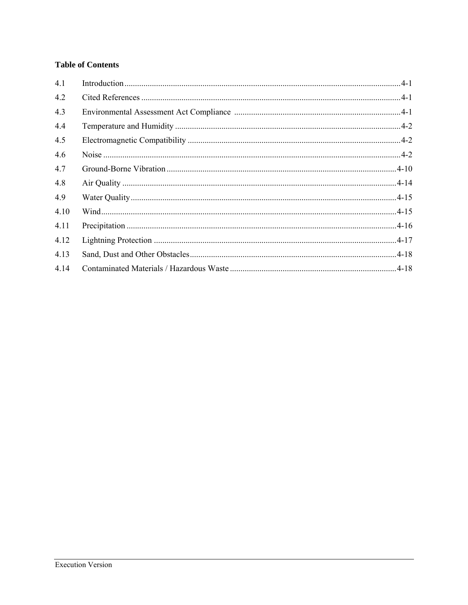# **Table of Contents**

| 4.1  |  |
|------|--|
| 4.2  |  |
| 4.3  |  |
| 4.4  |  |
| 4.5  |  |
| 4.6  |  |
| 4.7  |  |
| 4.8  |  |
| 4.9  |  |
| 4.10 |  |
| 4.11 |  |
| 4.12 |  |
| 4.13 |  |
| 4.14 |  |
|      |  |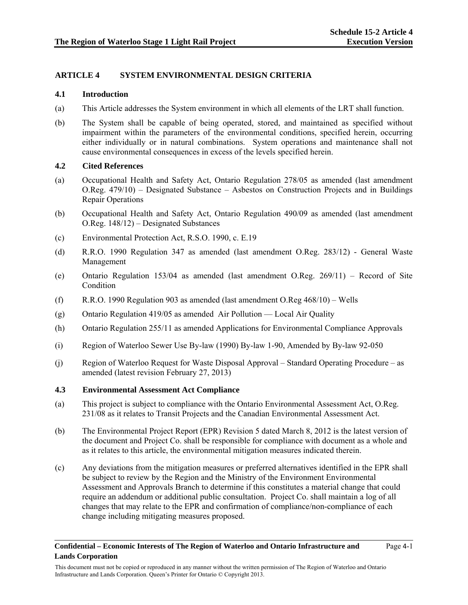## **ARTICLE 4 SYSTEM ENVIRONMENTAL DESIGN CRITERIA**

#### **4.1 Introduction**

- (a) This Article addresses the System environment in which all elements of the LRT shall function.
- (b) The System shall be capable of being operated, stored, and maintained as specified without impairment within the parameters of the environmental conditions, specified herein, occurring either individually or in natural combinations. System operations and maintenance shall not cause environmental consequences in excess of the levels specified herein.

## **4.2 Cited References**

- (a) Occupational Health and Safety Act, Ontario Regulation 278/05 as amended (last amendment O.Reg. 479/10) – Designated Substance – Asbestos on Construction Projects and in Buildings Repair Operations
- (b) Occupational Health and Safety Act, Ontario Regulation 490/09 as amended (last amendment O.Reg. 148/12) – Designated Substances
- (c) Environmental Protection Act, R.S.O. 1990, c. E.19
- (d) R.R.O. 1990 Regulation 347 as amended (last amendment O.Reg. 283/12) General Waste Management
- (e) Ontario Regulation 153/04 as amended (last amendment O.Reg. 269/11) Record of Site Condition
- (f) R.R.O. 1990 Regulation 903 as amended (last amendment O.Reg 468/10) Wells
- (g) Ontario Regulation 419/05 as amended Air Pollution Local Air Quality
- (h) Ontario Regulation 255/11 as amended Applications for Environmental Compliance Approvals
- (i) Region of Waterloo Sewer Use By-law (1990) By-law 1-90, Amended by By-law 92-050
- (j) Region of Waterloo Request for Waste Disposal Approval Standard Operating Procedure as amended (latest revision February 27, 2013)

#### **4.3 Environmental Assessment Act Compliance**

- (a) This project is subject to compliance with the Ontario Environmental Assessment Act, O.Reg. 231/08 as it relates to Transit Projects and the Canadian Environmental Assessment Act.
- (b) The Environmental Project Report (EPR) Revision 5 dated March 8, 2012 is the latest version of the document and Project Co. shall be responsible for compliance with document as a whole and as it relates to this article, the environmental mitigation measures indicated therein.
- (c) Any deviations from the mitigation measures or preferred alternatives identified in the EPR shall be subject to review by the Region and the Ministry of the Environment Environmental Assessment and Approvals Branch to determine if this constitutes a material change that could require an addendum or additional public consultation. Project Co. shall maintain a log of all changes that may relate to the EPR and confirmation of compliance/non-compliance of each change including mitigating measures proposed.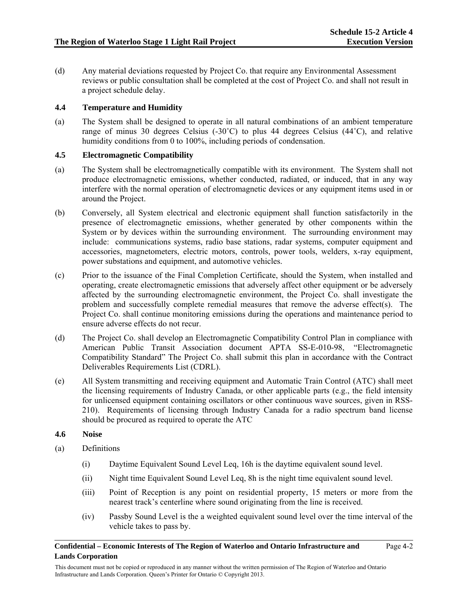(d) Any material deviations requested by Project Co. that require any Environmental Assessment reviews or public consultation shall be completed at the cost of Project Co. and shall not result in a project schedule delay.

## **4.4 Temperature and Humidity**

(a) The System shall be designed to operate in all natural combinations of an ambient temperature range of minus 30 degrees Celsius  $(-30^{\circ}C)$  to plus 44 degrees Celsius  $(44^{\circ}C)$ , and relative humidity conditions from 0 to 100%, including periods of condensation.

## **4.5 Electromagnetic Compatibility**

- (a) The System shall be electromagnetically compatible with its environment. The System shall not produce electromagnetic emissions, whether conducted, radiated, or induced, that in any way interfere with the normal operation of electromagnetic devices or any equipment items used in or around the Project.
- (b) Conversely, all System electrical and electronic equipment shall function satisfactorily in the presence of electromagnetic emissions, whether generated by other components within the System or by devices within the surrounding environment. The surrounding environment may include: communications systems, radio base stations, radar systems, computer equipment and accessories, magnetometers, electric motors, controls, power tools, welders, x-ray equipment, power substations and equipment, and automotive vehicles.
- (c) Prior to the issuance of the Final Completion Certificate, should the System, when installed and operating, create electromagnetic emissions that adversely affect other equipment or be adversely affected by the surrounding electromagnetic environment, the Project Co. shall investigate the problem and successfully complete remedial measures that remove the adverse effect(s). The Project Co. shall continue monitoring emissions during the operations and maintenance period to ensure adverse effects do not recur.
- (d) The Project Co. shall develop an Electromagnetic Compatibility Control Plan in compliance with American Public Transit Association document APTA SS-E-010-98, "Electromagnetic Compatibility Standard" The Project Co. shall submit this plan in accordance with the Contract Deliverables Requirements List (CDRL).
- (e) All System transmitting and receiving equipment and Automatic Train Control (ATC) shall meet the licensing requirements of Industry Canada, or other applicable parts (e.g., the field intensity for unlicensed equipment containing oscillators or other continuous wave sources, given in RSS-210). Requirements of licensing through Industry Canada for a radio spectrum band license should be procured as required to operate the ATC

#### **4.6 Noise**

- (a) Definitions
	- (i) Daytime Equivalent Sound Level Leq, 16h is the daytime equivalent sound level.
	- (ii) Night time Equivalent Sound Level Leq, 8h is the night time equivalent sound level.
	- (iii) Point of Reception is any point on residential property, 15 meters or more from the nearest track's centerline where sound originating from the line is received.
	- (iv) Passby Sound Level is the a weighted equivalent sound level over the time interval of the vehicle takes to pass by.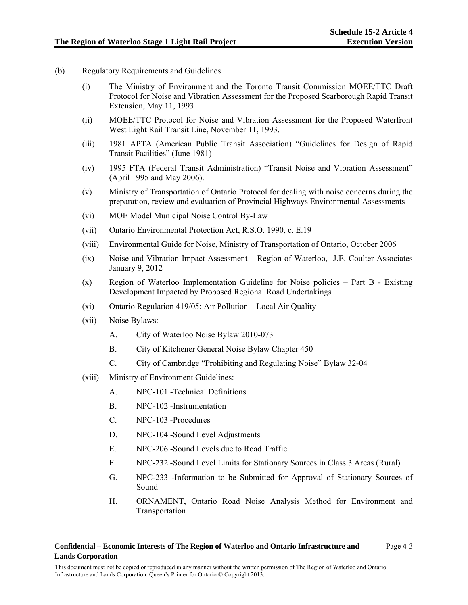- (b) Regulatory Requirements and Guidelines
	- (i) The Ministry of Environment and the Toronto Transit Commission MOEE/TTC Draft Protocol for Noise and Vibration Assessment for the Proposed Scarborough Rapid Transit Extension, May 11, 1993
	- (ii) MOEE/TTC Protocol for Noise and Vibration Assessment for the Proposed Waterfront West Light Rail Transit Line, November 11, 1993.
	- (iii) 1981 APTA (American Public Transit Association) "Guidelines for Design of Rapid Transit Facilities" (June 1981)
	- (iv) 1995 FTA (Federal Transit Administration) "Transit Noise and Vibration Assessment" (April 1995 and May 2006).
	- (v) Ministry of Transportation of Ontario Protocol for dealing with noise concerns during the preparation, review and evaluation of Provincial Highways Environmental Assessments
	- (vi) MOE Model Municipal Noise Control By-Law
	- (vii) Ontario Environmental Protection Act, R.S.O. 1990, c. E.19
	- (viii) Environmental Guide for Noise, Ministry of Transportation of Ontario, October 2006
	- (ix) Noise and Vibration Impact Assessment Region of Waterloo, J.E. Coulter Associates January 9, 2012
	- (x) Region of Waterloo Implementation Guideline for Noise policies Part B Existing Development Impacted by Proposed Regional Road Undertakings
	- (xi) Ontario Regulation 419/05: Air Pollution Local Air Quality
	- (xii) Noise Bylaws:
		- A. City of Waterloo Noise Bylaw 2010-073
		- B. City of Kitchener General Noise Bylaw Chapter 450
		- C. City of Cambridge "Prohibiting and Regulating Noise" Bylaw 32-04
	- (xiii) Ministry of Environment Guidelines:
		- A. NPC-101 -Technical Definitions
		- B. NPC-102 -Instrumentation
		- C. NPC-103 -Procedures
		- D. NPC-104 -Sound Level Adjustments
		- E. NPC-206 -Sound Levels due to Road Traffic
		- F. NPC-232 -Sound Level Limits for Stationary Sources in Class 3 Areas (Rural)
		- G. NPC-233 -Information to be Submitted for Approval of Stationary Sources of Sound
		- H. ORNAMENT, Ontario Road Noise Analysis Method for Environment and Transportation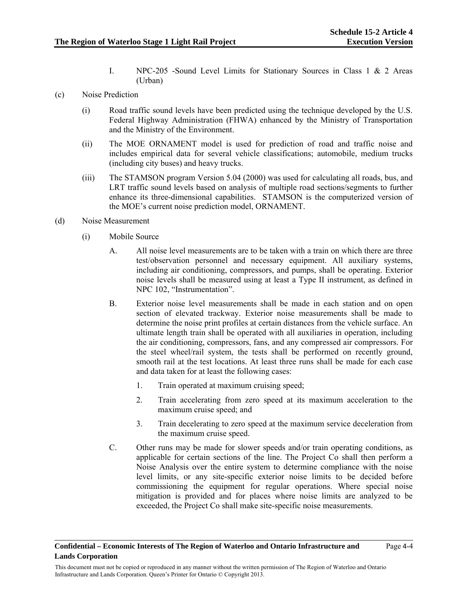Page 4-4

- I. NPC-205 -Sound Level Limits for Stationary Sources in Class 1 & 2 Areas (Urban)
- (c) Noise Prediction
	- (i) Road traffic sound levels have been predicted using the technique developed by the U.S. Federal Highway Administration (FHWA) enhanced by the Ministry of Transportation and the Ministry of the Environment.
	- (ii) The MOE ORNAMENT model is used for prediction of road and traffic noise and includes empirical data for several vehicle classifications; automobile, medium trucks (including city buses) and heavy trucks.
	- (iii) The STAMSON program Version 5.04 (2000) was used for calculating all roads, bus, and LRT traffic sound levels based on analysis of multiple road sections/segments to further enhance its three-dimensional capabilities. STAMSON is the computerized version of the MOE's current noise prediction model, ORNAMENT.
- (d) Noise Measurement
	- (i) Mobile Source
		- A. All noise level measurements are to be taken with a train on which there are three test/observation personnel and necessary equipment. All auxiliary systems, including air conditioning, compressors, and pumps, shall be operating. Exterior noise levels shall be measured using at least a Type II instrument, as defined in NPC 102, "Instrumentation".
		- B. Exterior noise level measurements shall be made in each station and on open section of elevated trackway. Exterior noise measurements shall be made to determine the noise print profiles at certain distances from the vehicle surface. An ultimate length train shall be operated with all auxiliaries in operation, including the air conditioning, compressors, fans, and any compressed air compressors. For the steel wheel/rail system, the tests shall be performed on recently ground, smooth rail at the test locations. At least three runs shall be made for each case and data taken for at least the following cases:
			- 1. Train operated at maximum cruising speed;
			- 2. Train accelerating from zero speed at its maximum acceleration to the maximum cruise speed; and
			- 3. Train decelerating to zero speed at the maximum service deceleration from the maximum cruise speed.
		- C. Other runs may be made for slower speeds and/or train operating conditions, as applicable for certain sections of the line. The Project Co shall then perform a Noise Analysis over the entire system to determine compliance with the noise level limits, or any site-specific exterior noise limits to be decided before commissioning the equipment for regular operations. Where special noise mitigation is provided and for places where noise limits are analyzed to be exceeded, the Project Co shall make site-specific noise measurements.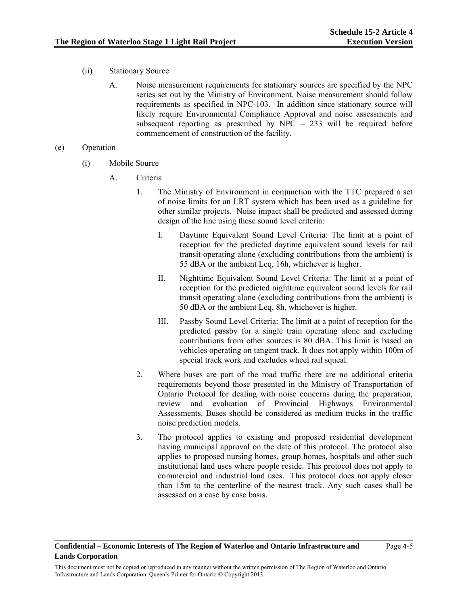Page 4-5

- (ii) Stationary Source
	- A. Noise measurement requirements for stationary sources are specified by the NPC series set out by the Ministry of Environment. Noise measurement should follow requirements as specified in NPC-103. In addition since stationary source will likely require Environmental Compliance Approval and noise assessments and subsequent reporting as prescribed by NPC – 233 will be required before commencement of construction of the facility.
- (e) Operation
	- (i) Mobile Source
		- A. Criteria
			- 1. The Ministry of Environment in conjunction with the TTC prepared a set of noise limits for an LRT system which has been used as a guideline for other similar projects. Noise impact shall be predicted and assessed during design of the line using these sound level criteria:
				- I. Daytime Equivalent Sound Level Criteria: The limit at a point of reception for the predicted daytime equivalent sound levels for rail transit operating alone (excluding contributions from the ambient) is 55 dBA or the ambient Leq, 16h, whichever is higher.
				- II. Nighttime Equivalent Sound Level Criteria: The limit at a point of reception for the predicted nighttime equivalent sound levels for rail transit operating alone (excluding contributions from the ambient) is 50 dBA or the ambient Leq, 8h, whichever is higher.
				- III. Passby Sound Level Criteria: The limit at a point of reception for the predicted passby for a single train operating alone and excluding contributions from other sources is 80 dBA. This limit is based on vehicles operating on tangent track. It does not apply within 100m of special track work and excludes wheel rail squeal.
			- 2. Where buses are part of the road traffic there are no additional criteria requirements beyond those presented in the Ministry of Transportation of Ontario Protocol for dealing with noise concerns during the preparation, review and evaluation of Provincial Highways Environmental Assessments. Buses should be considered as medium trucks in the traffic noise prediction models.
			- 3. The protocol applies to existing and proposed residential development having municipal approval on the date of this protocol. The protocol also applies to proposed nursing homes, group homes, hospitals and other such institutional land uses where people reside. This protocol does not apply to commercial and industrial land uses. This protocol does not apply closer than 15m to the centerline of the nearest track. Any such cases shall be assessed on a case by case basis.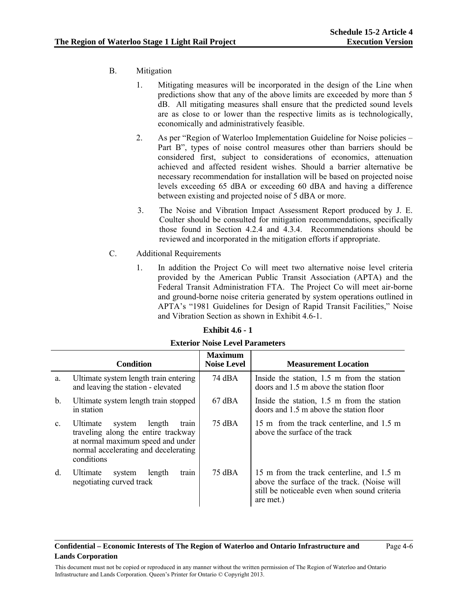## B. Mitigation

- 1. Mitigating measures will be incorporated in the design of the Line when predictions show that any of the above limits are exceeded by more than 5 dB. All mitigating measures shall ensure that the predicted sound levels are as close to or lower than the respective limits as is technologically, economically and administratively feasible.
- 2. As per "Region of Waterloo Implementation Guideline for Noise policies Part B", types of noise control measures other than barriers should be considered first, subject to considerations of economics, attenuation achieved and affected resident wishes. Should a barrier alternative be necessary recommendation for installation will be based on projected noise levels exceeding 65 dBA or exceeding 60 dBA and having a difference between existing and projected noise of 5 dBA or more.
- 3. The Noise and Vibration Impact Assessment Report produced by J. E. Coulter should be consulted for mitigation recommendations, specifically those found in Section 4.2.4 and 4.3.4. Recommendations should be reviewed and incorporated in the mitigation efforts if appropriate.
- C. Additional Requirements
	- 1. In addition the Project Co will meet two alternative noise level criteria provided by the American Public Transit Association (APTA) and the Federal Transit Administration FTA. The Project Co will meet air-borne and ground-borne noise criteria generated by system operations outlined in APTA's "1981 Guidelines for Design of Rapid Transit Facilities," Noise and Vibration Section as shown in Exhibit 4.6-1.

| <b>Exhibit 4.6 - 1</b> |  |
|------------------------|--|
|------------------------|--|

|                | <b>Condition</b>                                                                                                                                                        | <b>Maximum</b><br><b>Noise Level</b> | <b>Measurement Location</b>                                                                                                                           |
|----------------|-------------------------------------------------------------------------------------------------------------------------------------------------------------------------|--------------------------------------|-------------------------------------------------------------------------------------------------------------------------------------------------------|
| a.             | Ultimate system length train entering<br>and leaving the station - elevated                                                                                             | 74 dBA                               | Inside the station, $1.5$ m from the station<br>doors and 1.5 m above the station floor                                                               |
| b.             | Ultimate system length train stopped<br>in station                                                                                                                      | $67$ dBA                             | Inside the station, $1.5$ m from the station<br>doors and 1.5 m above the station floor                                                               |
| $\mathbf{C}$ . | Ultimate<br>length<br>system<br>train<br>traveling along the entire trackway<br>at normal maximum speed and under<br>normal accelerating and decelerating<br>conditions | 75 dBA                               | 15 m from the track centerline, and 1.5 m<br>above the surface of the track                                                                           |
| $d_{\cdot}$    | Ultimate<br>system<br>length<br>train<br>negotiating curved track                                                                                                       | 75 dBA                               | 15 m from the track centerline, and 1.5 m<br>above the surface of the track. (Noise will<br>still be noticeable even when sound criteria<br>are met.) |

#### **Exterior Noise Level Parameters**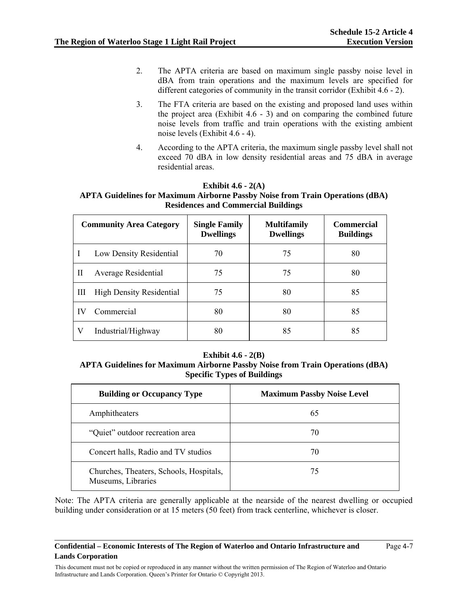- 2. The APTA criteria are based on maximum single passby noise level in dBA from train operations and the maximum levels are specified for different categories of community in the transit corridor (Exhibit 4.6 - 2).
- 3. The FTA criteria are based on the existing and proposed land uses within the project area (Exhibit 4.6 - 3) and on comparing the combined future noise levels from traffic and train operations with the existing ambient noise levels (Exhibit 4.6 - 4).
- 4. According to the APTA criteria, the maximum single passby level shall not exceed 70 dBA in low density residential areas and 75 dBA in average residential areas.

## **Exhibit 4.6 - 2(A) APTA Guidelines for Maximum Airborne Passby Noise from Train Operations (dBA) Residences and Commercial Buildings**

|    | <b>Community Area Category</b>  | <b>Single Family</b><br><b>Dwellings</b> | <b>Multifamily</b><br><b>Dwellings</b> | <b>Commercial</b><br><b>Buildings</b> |
|----|---------------------------------|------------------------------------------|----------------------------------------|---------------------------------------|
|    | Low Density Residential         | 70                                       | 75                                     | 80                                    |
| П  | <b>Average Residential</b>      | 75                                       | 75                                     | 80                                    |
| Ш  | <b>High Density Residential</b> | 75                                       | 80                                     | 85                                    |
| IV | Commercial                      | 80                                       | 80                                     | 85                                    |
| V  | Industrial/Highway              | 80                                       | 85                                     | 85                                    |

#### **Exhibit 4.6 - 2(B)**

**APTA Guidelines for Maximum Airborne Passby Noise from Train Operations (dBA) Specific Types of Buildings** 

| <b>Building or Occupancy Type</b>                             | <b>Maximum Passby Noise Level</b> |
|---------------------------------------------------------------|-----------------------------------|
| Amphitheaters                                                 | 65                                |
| "Quiet" outdoor recreation area                               | 70                                |
| Concert halls, Radio and TV studios                           | 70                                |
| Churches, Theaters, Schools, Hospitals,<br>Museums, Libraries | 75                                |

Note: The APTA criteria are generally applicable at the nearside of the nearest dwelling or occupied building under consideration or at 15 meters (50 feet) from track centerline, whichever is closer.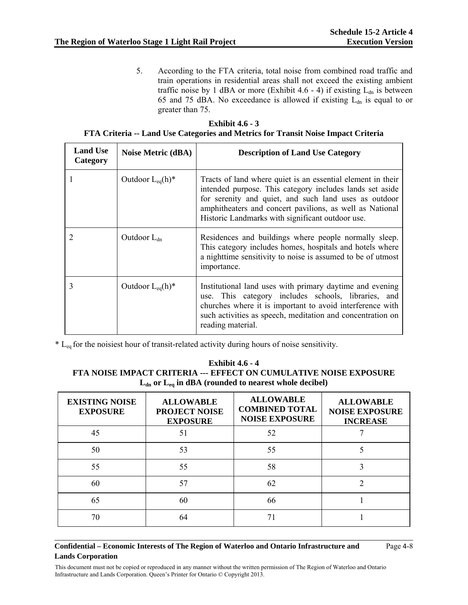5. According to the FTA criteria, total noise from combined road traffic and train operations in residential areas shall not exceed the existing ambient traffic noise by 1 dBA or more (Exhibit 4.6 - 4) if existing  $L_{dn}$  is between 65 and 75 dBA. No exceedance is allowed if existing  $L_{dn}$  is equal to or greater than 75.

| Exhibit $4.6 - 3$                                                                 |
|-----------------------------------------------------------------------------------|
| FTA Criteria -- Land Use Categories and Metrics for Transit Noise Impact Criteria |

| <b>Land Use</b><br>Category | Noise Metric (dBA)    | <b>Description of Land Use Category</b>                                                                                                                                                                                                                                                          |
|-----------------------------|-----------------------|--------------------------------------------------------------------------------------------------------------------------------------------------------------------------------------------------------------------------------------------------------------------------------------------------|
|                             | Outdoor $L_{eq}(h)^*$ | Tracts of land where quiet is an essential element in their<br>intended purpose. This category includes lands set aside<br>for serenity and quiet, and such land uses as outdoor<br>amphitheaters and concert pavilions, as well as National<br>Historic Landmarks with significant outdoor use. |
|                             | Outdoor $L_{dn}$      | Residences and buildings where people normally sleep.<br>This category includes homes, hospitals and hotels where<br>a nighttime sensitivity to noise is assumed to be of utmost<br>importance.                                                                                                  |
| 3                           | Outdoor $L_{eq}(h)^*$ | Institutional land uses with primary daytime and evening<br>use. This category includes schools, libraries, and<br>churches where it is important to avoid interference with<br>such activities as speech, meditation and concentration on<br>reading material.                                  |

\* Leq for the noisiest hour of transit-related activity during hours of noise sensitivity.

| <b>Exhibit 4.6 - 4</b>                                            |
|-------------------------------------------------------------------|
| FTA NOISE IMPACT CRITERIA --- EFFECT ON CUMULATIVE NOISE EXPOSURE |
| $L_{dn}$ or $L_{eq}$ in dBA (rounded to nearest whole decibel)    |

| <b>EXISTING NOISE</b><br><b>EXPOSURE</b> | <b>ALLOWABLE</b><br><b>PROJECT NOISE</b><br><b>EXPOSURE</b> | <b>ALLOWABLE</b><br><b>COMBINED TOTAL</b><br><b>NOISE EXPOSURE</b> | <b>ALLOWABLE</b><br><b>NOISE EXPOSURE</b><br><b>INCREASE</b> |
|------------------------------------------|-------------------------------------------------------------|--------------------------------------------------------------------|--------------------------------------------------------------|
| 45                                       | 51                                                          | 52                                                                 |                                                              |
| 50                                       | 53                                                          | 55                                                                 |                                                              |
| 55                                       | 55                                                          | 58                                                                 |                                                              |
| 60                                       | 57                                                          | 62                                                                 |                                                              |
| 65                                       | 60                                                          | 66                                                                 |                                                              |
| 70                                       | 64                                                          |                                                                    |                                                              |

#### **Confidential – Economic Interests of The Region of Waterloo and Ontario Infrastructure and Lands Corporation**

Page 4-8

This document must not be copied or reproduced in any manner without the written permission of The Region of Waterloo and Ontario Infrastructure and Lands Corporation. Queen's Printer for Ontario © Copyright 2013.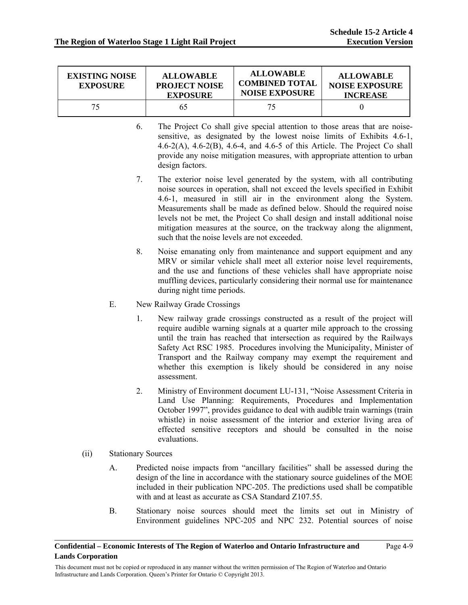| <b>EXISTING NOISE</b><br><b>EXPOSURE</b> | <b>ALLOWABLE</b><br><b>PROJECT NOISE</b><br><b>EXPOSURE</b> | <b>ALLOWABLE</b><br><b>COMBINED TOTAL</b><br><b>NOISE EXPOSURE</b> | <b>ALLOWABLE</b><br><b>NOISE EXPOSURE</b><br><b>INCREASE</b> |
|------------------------------------------|-------------------------------------------------------------|--------------------------------------------------------------------|--------------------------------------------------------------|
| 75                                       | 65                                                          | 75.                                                                |                                                              |

- 6. The Project Co shall give special attention to those areas that are noisesensitive, as designated by the lowest noise limits of Exhibits 4.6-1, 4.6-2(A), 4.6-2(B), 4.6-4, and 4.6-5 of this Article. The Project Co shall provide any noise mitigation measures, with appropriate attention to urban design factors.
- 7. The exterior noise level generated by the system, with all contributing noise sources in operation, shall not exceed the levels specified in Exhibit 4.6-1, measured in still air in the environment along the System. Measurements shall be made as defined below. Should the required noise levels not be met, the Project Co shall design and install additional noise mitigation measures at the source, on the trackway along the alignment, such that the noise levels are not exceeded.
- 8. Noise emanating only from maintenance and support equipment and any MRV or similar vehicle shall meet all exterior noise level requirements, and the use and functions of these vehicles shall have appropriate noise muffling devices, particularly considering their normal use for maintenance during night time periods.
- E. New Railway Grade Crossings
	- 1. New railway grade crossings constructed as a result of the project will require audible warning signals at a quarter mile approach to the crossing until the train has reached that intersection as required by the Railways Safety Act RSC 1985. Procedures involving the Municipality, Minister of Transport and the Railway company may exempt the requirement and whether this exemption is likely should be considered in any noise assessment.
	- 2. Ministry of Environment document LU-131, "Noise Assessment Criteria in Land Use Planning: Requirements, Procedures and Implementation October 1997", provides guidance to deal with audible train warnings (train whistle) in noise assessment of the interior and exterior living area of effected sensitive receptors and should be consulted in the noise evaluations.
- (ii) Stationary Sources
	- A. Predicted noise impacts from "ancillary facilities" shall be assessed during the design of the line in accordance with the stationary source guidelines of the MOE included in their publication NPC-205. The predictions used shall be compatible with and at least as accurate as CSA Standard Z107.55.
	- B. Stationary noise sources should meet the limits set out in Ministry of Environment guidelines NPC-205 and NPC 232. Potential sources of noise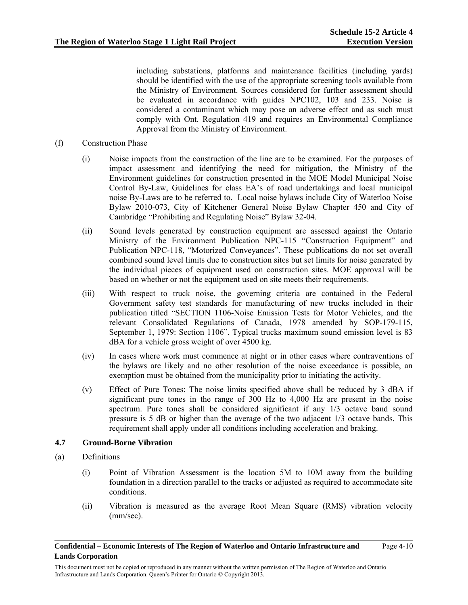including substations, platforms and maintenance facilities (including yards) should be identified with the use of the appropriate screening tools available from the Ministry of Environment. Sources considered for further assessment should be evaluated in accordance with guides NPC102, 103 and 233. Noise is considered a contaminant which may pose an adverse effect and as such must comply with Ont. Regulation 419 and requires an Environmental Compliance Approval from the Ministry of Environment.

#### (f) Construction Phase

- (i) Noise impacts from the construction of the line are to be examined. For the purposes of impact assessment and identifying the need for mitigation, the Ministry of the Environment guidelines for construction presented in the MOE Model Municipal Noise Control By-Law, Guidelines for class EA's of road undertakings and local municipal noise By-Laws are to be referred to. Local noise bylaws include City of Waterloo Noise Bylaw 2010-073, City of Kitchener General Noise Bylaw Chapter 450 and City of Cambridge "Prohibiting and Regulating Noise" Bylaw 32-04.
- (ii) Sound levels generated by construction equipment are assessed against the Ontario Ministry of the Environment Publication NPC-115 "Construction Equipment" and Publication NPC-118, "Motorized Conveyances". These publications do not set overall combined sound level limits due to construction sites but set limits for noise generated by the individual pieces of equipment used on construction sites. MOE approval will be based on whether or not the equipment used on site meets their requirements.
- (iii) With respect to truck noise, the governing criteria are contained in the Federal Government safety test standards for manufacturing of new trucks included in their publication titled "SECTION 1106-Noise Emission Tests for Motor Vehicles, and the relevant Consolidated Regulations of Canada, 1978 amended by SOP-179-115, September 1, 1979: Section 1106". Typical trucks maximum sound emission level is 83 dBA for a vehicle gross weight of over 4500 kg.
- (iv) In cases where work must commence at night or in other cases where contraventions of the bylaws are likely and no other resolution of the noise exceedance is possible, an exemption must be obtained from the municipality prior to initiating the activity.
- (v) Effect of Pure Tones: The noise limits specified above shall be reduced by 3 dBA if significant pure tones in the range of 300 Hz to 4,000 Hz are present in the noise spectrum. Pure tones shall be considered significant if any 1/3 octave band sound pressure is 5 dB or higher than the average of the two adjacent 1/3 octave bands. This requirement shall apply under all conditions including acceleration and braking.

#### **4.7 Ground-Borne Vibration**

- (a) Definitions
	- (i) Point of Vibration Assessment is the location 5M to 10M away from the building foundation in a direction parallel to the tracks or adjusted as required to accommodate site conditions.
	- (ii) Vibration is measured as the average Root Mean Square (RMS) vibration velocity (mm/sec).

This document must not be copied or reproduced in any manner without the written permission of The Region of Waterloo and Ontario Infrastructure and Lands Corporation. Queen's Printer for Ontario © Copyright 2013.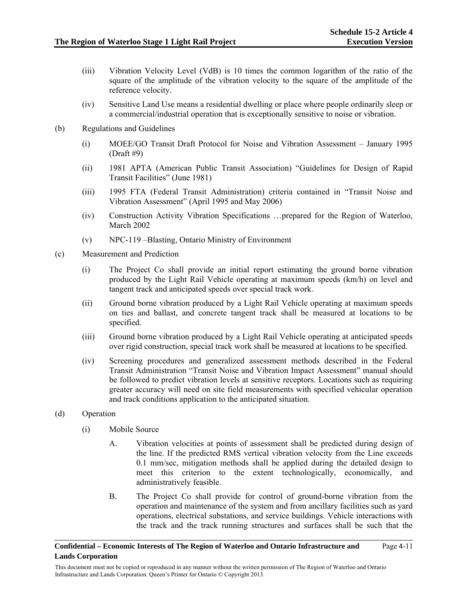- (iii) Vibration Velocity Level (VdB) is 10 times the common logarithm of the ratio of the square of the amplitude of the vibration velocity to the square of the amplitude of the reference velocity.
- (iv) Sensitive Land Use means a residential dwelling or place where people ordinarily sleep or a commercial/industrial operation that is exceptionally sensitive to noise or vibration.
- (b) Regulations and Guidelines
	- (i) MOEE/GO Transit Draft Protocol for Noise and Vibration Assessment January 1995  $(Draft #9)$
	- (ii) 1981 APTA (American Public Transit Association) "Guidelines for Design of Rapid Transit Facilities" (June 1981)
	- (iii) 1995 FTA (Federal Transit Administration) criteria contained in "Transit Noise and Vibration Assessment" (April 1995 and May 2006)
	- (iv) Construction Activity Vibration Specifications …prepared for the Region of Waterloo, March 2002
	- (v) NPC-119 –Blasting, Ontario Ministry of Environment
- (c) Measurement and Prediction
	- (i) The Project Co shall provide an initial report estimating the ground borne vibration produced by the Light Rail Vehicle operating at maximum speeds (km/h) on level and tangent track and anticipated speeds over special track work.
	- (ii) Ground borne vibration produced by a Light Rail Vehicle operating at maximum speeds on ties and ballast, and concrete tangent track shall be measured at locations to be specified.
	- (iii) Ground borne vibration produced by a Light Rail Vehicle operating at anticipated speeds over rigid construction, special track work shall be measured at locations to be specified.
	- (iv) Screening procedures and generalized assessment methods described in the Federal Transit Administration "Transit Noise and Vibration Impact Assessment" manual should be followed to predict vibration levels at sensitive receptors. Locations such as requiring greater accuracy will need on site field measurements with specified vehicular operation and track conditions application to the anticipated situation.
- (d) Operation
	- (i) Mobile Source
		- A. Vibration velocities at points of assessment shall be predicted during design of the line. If the predicted RMS vertical vibration velocity from the Line exceeds 0.1 mm/sec, mitigation methods shall be applied during the detailed design to meet this criterion to the extent technologically, economically, and administratively feasible.
		- B. The Project Co shall provide for control of ground-borne vibration from the operation and maintenance of the system and from ancillary facilities such as yard operations, electrical substations, and service buildings. Vehicle interactions with the track and the track running structures and surfaces shall be such that the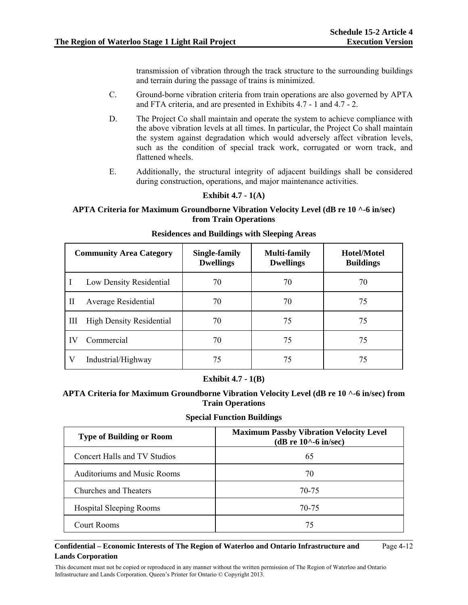Page 4-12

transmission of vibration through the track structure to the surrounding buildings and terrain during the passage of trains is minimized.

- C. Ground-borne vibration criteria from train operations are also governed by APTA and FTA criteria, and are presented in Exhibits 4.7 - 1 and 4.7 - 2.
- D. The Project Co shall maintain and operate the system to achieve compliance with the above vibration levels at all times. In particular, the Project Co shall maintain the system against degradation which would adversely affect vibration levels, such as the condition of special track work, corrugated or worn track, and flattened wheels.
- E. Additionally, the structural integrity of adjacent buildings shall be considered during construction, operations, and major maintenance activities.

## **Exhibit 4.7 - 1(A)**

#### **APTA Criteria for Maximum Groundborne Vibration Velocity Level (dB re 10 ^-6 in/sec) from Train Operations**

| <b>Community Area Category</b> |                                 | Single-family<br><b>Dwellings</b> | <b>Multi-family</b><br><b>Dwellings</b> | Hotel/Motel<br><b>Buildings</b> |
|--------------------------------|---------------------------------|-----------------------------------|-----------------------------------------|---------------------------------|
|                                | Low Density Residential         | 70                                | 70                                      | 70                              |
| П                              | Average Residential             | 70                                | 70                                      | 75                              |
| Ш                              | <b>High Density Residential</b> | 70                                | 75                                      | 75                              |
| IV                             | Commercial                      | 70                                | 75                                      | 75                              |
| V                              | Industrial/Highway              | 75                                | 75                                      | 75                              |

#### **Residences and Buildings with Sleeping Areas**

#### **Exhibit 4.7 - 1(B)**

**APTA Criteria for Maximum Groundborne Vibration Velocity Level (dB re 10 ^-6 in/sec) from Train Operations** 

#### **Special Function Buildings**

| <b>Type of Building or Room</b>    | <b>Maximum Passby Vibration Velocity Level</b><br>(dB re $10^{\circ}$ -6 in/sec) |
|------------------------------------|----------------------------------------------------------------------------------|
| Concert Halls and TV Studios       | 65                                                                               |
| <b>Auditoriums and Music Rooms</b> | 70                                                                               |
| Churches and Theaters              | 70-75                                                                            |
| <b>Hospital Sleeping Rooms</b>     | 70-75                                                                            |
| Court Rooms                        | 75                                                                               |

#### **Confidential – Economic Interests of The Region of Waterloo and Ontario Infrastructure and Lands Corporation**

This document must not be copied or reproduced in any manner without the written permission of The Region of Waterloo and Ontario Infrastructure and Lands Corporation. Queen's Printer for Ontario © Copyright 2013.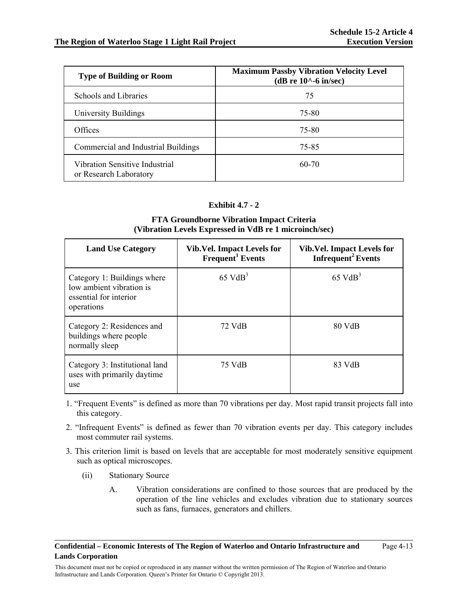| <b>Type of Building or Room</b>                          | <b>Maximum Passby Vibration Velocity Level</b><br>$(dB re 10^{\wedge} -6 in/sec)$ |
|----------------------------------------------------------|-----------------------------------------------------------------------------------|
| Schools and Libraries                                    | 75                                                                                |
| University Buildings                                     | 75-80                                                                             |
| Offices                                                  | 75-80                                                                             |
| Commercial and Industrial Buildings                      | 75-85                                                                             |
| Vibration Sensitive Industrial<br>or Research Laboratory | $60 - 70$                                                                         |

## **Exhibit 4.7 - 2**

### **FTA Groundborne Vibration Impact Criteria (Vibration Levels Expressed in VdB re 1 microinch/sec)**

| <b>Land Use Category</b>                                                                        | <b>Vib.Vel. Impact Levels for</b><br>Frequent <sup>1</sup> Events | Vib. Vel. Impact Levels for<br>Infrequent <sup>2</sup> Events |
|-------------------------------------------------------------------------------------------------|-------------------------------------------------------------------|---------------------------------------------------------------|
| Category 1: Buildings where<br>low ambient vibration is<br>essential for interior<br>operations | $65 \text{ VdB}^3$                                                | $65 \text{ VdB}^3$                                            |
| Category 2: Residences and<br>buildings where people<br>normally sleep                          | 72 VdB                                                            | 80 VdB                                                        |
| Category 3: Institutional land<br>uses with primarily daytime<br>use                            | 75 VdB                                                            | 83 VdB                                                        |

- 1. "Frequent Events" is defined as more than 70 vibrations per day. Most rapid transit projects fall into this category.
- 2. "Infrequent Events" is defined as fewer than 70 vibration events per day. This category includes most commuter rail systems.
- 3. This criterion limit is based on levels that are acceptable for most moderately sensitive equipment such as optical microscopes.
	- (ii) Stationary Source
		- A. Vibration considerations are confined to those sources that are produced by the operation of the line vehicles and excludes vibration due to stationary sources such as fans, furnaces, generators and chillers.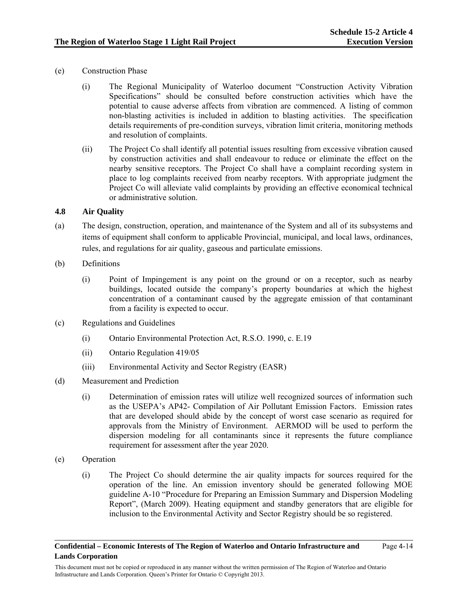- (e) Construction Phase
	- (i) The Regional Municipality of Waterloo document "Construction Activity Vibration Specifications" should be consulted before construction activities which have the potential to cause adverse affects from vibration are commenced. A listing of common non-blasting activities is included in addition to blasting activities. The specification details requirements of pre-condition surveys, vibration limit criteria, monitoring methods and resolution of complaints.
	- (ii) The Project Co shall identify all potential issues resulting from excessive vibration caused by construction activities and shall endeavour to reduce or eliminate the effect on the nearby sensitive receptors. The Project Co shall have a complaint recording system in place to log complaints received from nearby receptors. With appropriate judgment the Project Co will alleviate valid complaints by providing an effective economical technical or administrative solution.

## **4.8 Air Quality**

- (a) The design, construction, operation, and maintenance of the System and all of its subsystems and items of equipment shall conform to applicable Provincial, municipal, and local laws, ordinances, rules, and regulations for air quality, gaseous and particulate emissions.
- (b) Definitions
	- (i) Point of Impingement is any point on the ground or on a receptor, such as nearby buildings, located outside the company's property boundaries at which the highest concentration of a contaminant caused by the aggregate emission of that contaminant from a facility is expected to occur.
- (c) Regulations and Guidelines
	- (i) Ontario Environmental Protection Act, R.S.O. 1990, c. E.19
	- (ii) Ontario Regulation 419/05
	- (iii) Environmental Activity and Sector Registry (EASR)
- (d) Measurement and Prediction
	- (i) Determination of emission rates will utilize well recognized sources of information such as the USEPA's AP42- Compilation of Air Pollutant Emission Factors. Emission rates that are developed should abide by the concept of worst case scenario as required for approvals from the Ministry of Environment. AERMOD will be used to perform the dispersion modeling for all contaminants since it represents the future compliance requirement for assessment after the year 2020.
- (e) Operation
	- (i) The Project Co should determine the air quality impacts for sources required for the operation of the line. An emission inventory should be generated following MOE guideline A-10 "Procedure for Preparing an Emission Summary and Dispersion Modeling Report", (March 2009). Heating equipment and standby generators that are eligible for inclusion to the Environmental Activity and Sector Registry should be so registered.

This document must not be copied or reproduced in any manner without the written permission of The Region of Waterloo and Ontario Infrastructure and Lands Corporation. Queen's Printer for Ontario © Copyright 2013.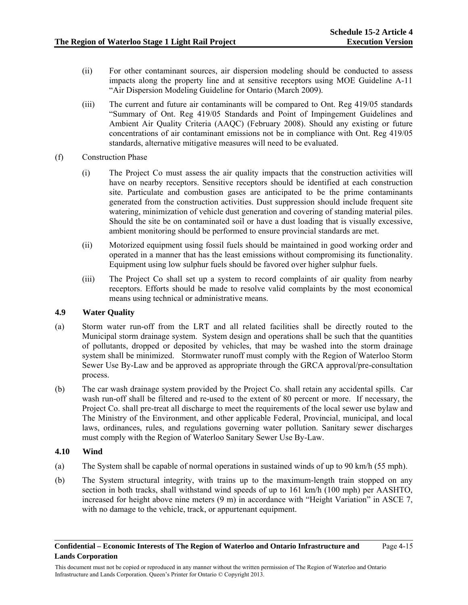- (ii) For other contaminant sources, air dispersion modeling should be conducted to assess impacts along the property line and at sensitive receptors using MOE Guideline A-11 "Air Dispersion Modeling Guideline for Ontario (March 2009).
- (iii) The current and future air contaminants will be compared to Ont. Reg 419/05 standards "Summary of Ont. Reg 419/05 Standards and Point of Impingement Guidelines and Ambient Air Quality Criteria (AAQC) (February 2008). Should any existing or future concentrations of air contaminant emissions not be in compliance with Ont. Reg 419/05 standards, alternative mitigative measures will need to be evaluated.
- (f) Construction Phase
	- (i) The Project Co must assess the air quality impacts that the construction activities will have on nearby receptors. Sensitive receptors should be identified at each construction site. Particulate and combustion gases are anticipated to be the prime contaminants generated from the construction activities. Dust suppression should include frequent site watering, minimization of vehicle dust generation and covering of standing material piles. Should the site be on contaminated soil or have a dust loading that is visually excessive, ambient monitoring should be performed to ensure provincial standards are met.
	- (ii) Motorized equipment using fossil fuels should be maintained in good working order and operated in a manner that has the least emissions without compromising its functionality. Equipment using low sulphur fuels should be favored over higher sulphur fuels.
	- (iii) The Project Co shall set up a system to record complaints of air quality from nearby receptors. Efforts should be made to resolve valid complaints by the most economical means using technical or administrative means.

## **4.9 Water Quality**

- (a) Storm water run-off from the LRT and all related facilities shall be directly routed to the Municipal storm drainage system. System design and operations shall be such that the quantities of pollutants, dropped or deposited by vehicles, that may be washed into the storm drainage system shall be minimized. Stormwater runoff must comply with the Region of Waterloo Storm Sewer Use By-Law and be approved as appropriate through the GRCA approval/pre-consultation process.
- (b) The car wash drainage system provided by the Project Co. shall retain any accidental spills. Car wash run-off shall be filtered and re-used to the extent of 80 percent or more. If necessary, the Project Co. shall pre-treat all discharge to meet the requirements of the local sewer use bylaw and The Ministry of the Environment, and other applicable Federal, Provincial, municipal, and local laws, ordinances, rules, and regulations governing water pollution. Sanitary sewer discharges must comply with the Region of Waterloo Sanitary Sewer Use By-Law.

#### **4.10 Wind**

- (a) The System shall be capable of normal operations in sustained winds of up to 90 km/h (55 mph).
- (b) The System structural integrity, with trains up to the maximum-length train stopped on any section in both tracks, shall withstand wind speeds of up to 161 km/h (100 mph) per AASHTO, increased for height above nine meters (9 m) in accordance with "Height Variation" in ASCE 7, with no damage to the vehicle, track, or appurtenant equipment.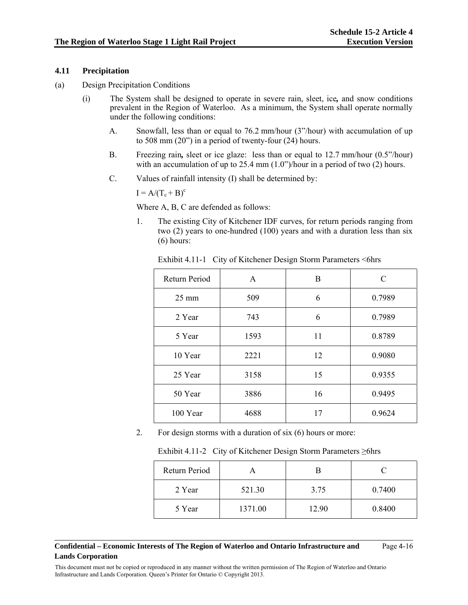#### **4.11 Precipitation**

- (a) Design Precipitation Conditions
	- (i) The System shall be designed to operate in severe rain, sleet, ice*,* and snow conditions prevalent in the Region of Waterloo. As a minimum, the System shall operate normally under the following conditions:
		- A. Snowfall, less than or equal to 76.2 mm/hour (3"/hour) with accumulation of up to 508 mm (20") in a period of twenty-four (24) hours.
		- B. Freezing rain*,* sleet or ice glaze: less than or equal to 12.7 mm/hour (0.5"/hour) with an accumulation of up to 25.4 mm  $(1.0^{\circ})$ /hour in a period of two (2) hours.
		- C. Values of rainfall intensity (I) shall be determined by:

 $I = A/(T_c + B)^c$ 

Where A, B, C are defended as follows:

1. The existing City of Kitchener IDF curves, for return periods ranging from two (2) years to one-hundred (100) years and with a duration less than six (6) hours:

| Return Period   | A    | B  | C      |
|-----------------|------|----|--------|
| $25 \text{ mm}$ | 509  | 6  | 0.7989 |
| 2 Year          | 743  | 6  | 0.7989 |
| 5 Year          | 1593 | 11 | 0.8789 |
| 10 Year         | 2221 | 12 | 0.9080 |
| 25 Year         | 3158 | 15 | 0.9355 |
| 50 Year         | 3886 | 16 | 0.9495 |
| 100 Year        | 4688 | 17 | 0.9624 |

Exhibit 4.11-1 City of Kitchener Design Storm Parameters <6hrs

2. For design storms with a duration of six (6) hours or more:

| Return Period |         |       |        |
|---------------|---------|-------|--------|
| 2 Year        | 521.30  | 3.75  | 0.7400 |
| 5 Year        | 1371.00 | 12.90 | 0.8400 |

#### **Confidential – Economic Interests of The Region of Waterloo and Ontario Infrastructure and Lands Corporation**

Page 4-16

This document must not be copied or reproduced in any manner without the written permission of The Region of Waterloo and Ontario Infrastructure and Lands Corporation. Queen's Printer for Ontario © Copyright 2013.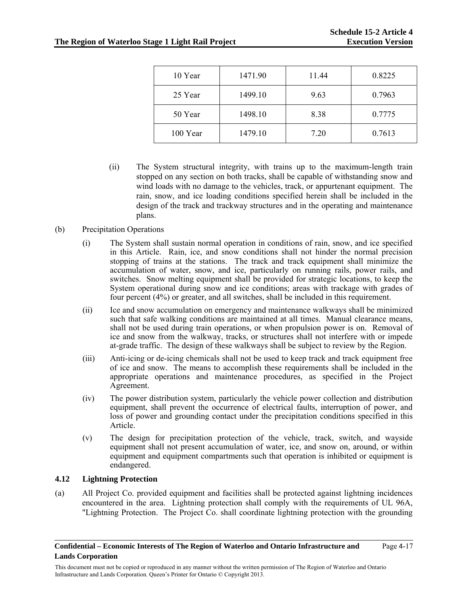| 10 Year  | 1471.90 | 11.44 | 0.8225 |
|----------|---------|-------|--------|
| 25 Year  | 1499.10 | 9.63  | 0.7963 |
| 50 Year  | 1498.10 | 8.38  | 0.7775 |
| 100 Year | 1479.10 | 7.20  | 0.7613 |

- (ii) The System structural integrity, with trains up to the maximum-length train stopped on any section on both tracks, shall be capable of withstanding snow and wind loads with no damage to the vehicles, track, or appurtenant equipment. The rain, snow, and ice loading conditions specified herein shall be included in the design of the track and trackway structures and in the operating and maintenance plans.
- (b) Precipitation Operations
	- (i) The System shall sustain normal operation in conditions of rain, snow, and ice specified in this Article. Rain, ice, and snow conditions shall not hinder the normal precision stopping of trains at the stations. The track and track equipment shall minimize the accumulation of water, snow, and ice, particularly on running rails, power rails, and switches. Snow melting equipment shall be provided for strategic locations, to keep the System operational during snow and ice conditions; areas with trackage with grades of four percent (4%) or greater, and all switches, shall be included in this requirement.
	- (ii) Ice and snow accumulation on emergency and maintenance walkways shall be minimized such that safe walking conditions are maintained at all times. Manual clearance means, shall not be used during train operations, or when propulsion power is on. Removal of ice and snow from the walkway, tracks, or structures shall not interfere with or impede at-grade traffic. The design of these walkways shall be subject to review by the Region.
	- (iii) Anti-icing or de-icing chemicals shall not be used to keep track and track equipment free of ice and snow. The means to accomplish these requirements shall be included in the appropriate operations and maintenance procedures, as specified in the Project Agreement.
	- (iv) The power distribution system, particularly the vehicle power collection and distribution equipment, shall prevent the occurrence of electrical faults, interruption of power, and loss of power and grounding contact under the precipitation conditions specified in this Article.
	- (v) The design for precipitation protection of the vehicle, track, switch, and wayside equipment shall not present accumulation of water, ice, and snow on, around, or within equipment and equipment compartments such that operation is inhibited or equipment is endangered.

#### **4.12 Lightning Protection**

(a) All Project Co. provided equipment and facilities shall be protected against lightning incidences encountered in the area. Lightning protection shall comply with the requirements of UL 96A, "Lightning Protection. The Project Co. shall coordinate lightning protection with the grounding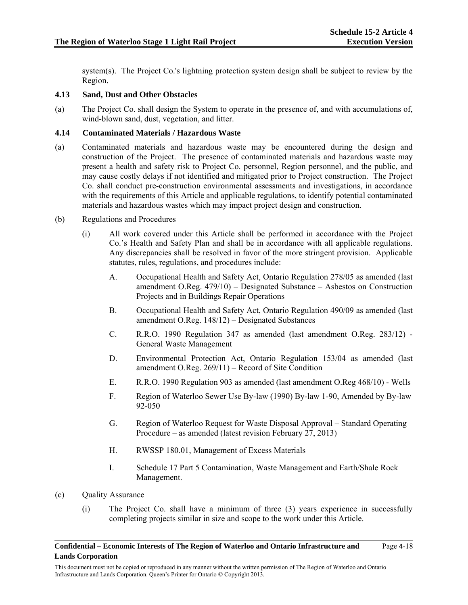system(s). The Project Co.'s lightning protection system design shall be subject to review by the Region.

## **4.13 Sand, Dust and Other Obstacles**

(a) The Project Co. shall design the System to operate in the presence of, and with accumulations of, wind-blown sand, dust, vegetation, and litter.

### **4.14 Contaminated Materials / Hazardous Waste**

- (a) Contaminated materials and hazardous waste may be encountered during the design and construction of the Project. The presence of contaminated materials and hazardous waste may present a health and safety risk to Project Co. personnel, Region personnel, and the public, and may cause costly delays if not identified and mitigated prior to Project construction. The Project Co. shall conduct pre-construction environmental assessments and investigations, in accordance with the requirements of this Article and applicable regulations, to identify potential contaminated materials and hazardous wastes which may impact project design and construction.
- (b) Regulations and Procedures
	- (i) All work covered under this Article shall be performed in accordance with the Project Co.'s Health and Safety Plan and shall be in accordance with all applicable regulations. Any discrepancies shall be resolved in favor of the more stringent provision. Applicable statutes, rules, regulations, and procedures include:
		- A. Occupational Health and Safety Act, Ontario Regulation 278/05 as amended (last amendment O.Reg. 479/10) – Designated Substance – Asbestos on Construction Projects and in Buildings Repair Operations
		- B. Occupational Health and Safety Act, Ontario Regulation 490/09 as amended (last amendment O.Reg. 148/12) – Designated Substances
		- C. R.R.O. 1990 Regulation 347 as amended (last amendment O.Reg. 283/12) General Waste Management
		- D. Environmental Protection Act, Ontario Regulation 153/04 as amended (last amendment O.Reg. 269/11) – Record of Site Condition
		- E. R.R.O. 1990 Regulation 903 as amended (last amendment O.Reg 468/10) Wells
		- F. Region of Waterloo Sewer Use By-law (1990) By-law 1-90, Amended by By-law 92-050
		- G. Region of Waterloo Request for Waste Disposal Approval Standard Operating Procedure – as amended (latest revision February 27, 2013)
		- H. RWSSP 180.01, Management of Excess Materials
		- I. Schedule 17 Part 5 Contamination, Waste Management and Earth/Shale Rock Management.
- (c) Quality Assurance
	- (i) The Project Co. shall have a minimum of three (3) years experience in successfully completing projects similar in size and scope to the work under this Article.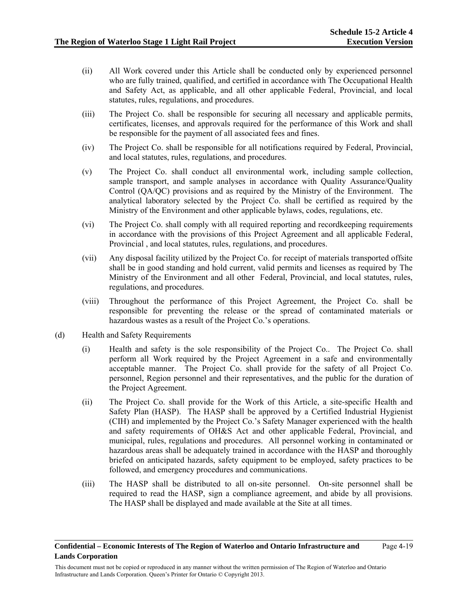- (ii) All Work covered under this Article shall be conducted only by experienced personnel who are fully trained, qualified, and certified in accordance with The Occupational Health and Safety Act, as applicable, and all other applicable Federal, Provincial, and local statutes, rules, regulations, and procedures.
- (iii) The Project Co. shall be responsible for securing all necessary and applicable permits, certificates, licenses, and approvals required for the performance of this Work and shall be responsible for the payment of all associated fees and fines.
- (iv) The Project Co. shall be responsible for all notifications required by Federal, Provincial, and local statutes, rules, regulations, and procedures.
- (v) The Project Co. shall conduct all environmental work, including sample collection, sample transport, and sample analyses in accordance with Quality Assurance/Quality Control (QA/QC) provisions and as required by the Ministry of the Environment. The analytical laboratory selected by the Project Co. shall be certified as required by the Ministry of the Environment and other applicable bylaws, codes, regulations, etc.
- (vi) The Project Co. shall comply with all required reporting and recordkeeping requirements in accordance with the provisions of this Project Agreement and all applicable Federal, Provincial , and local statutes, rules, regulations, and procedures.
- (vii) Any disposal facility utilized by the Project Co. for receipt of materials transported offsite shall be in good standing and hold current, valid permits and licenses as required by The Ministry of the Environment and all other Federal, Provincial, and local statutes, rules, regulations, and procedures.
- (viii) Throughout the performance of this Project Agreement, the Project Co. shall be responsible for preventing the release or the spread of contaminated materials or hazardous wastes as a result of the Project Co.'s operations.
- (d) Health and Safety Requirements
	- (i) Health and safety is the sole responsibility of the Project Co.. The Project Co. shall perform all Work required by the Project Agreement in a safe and environmentally acceptable manner. The Project Co. shall provide for the safety of all Project Co. personnel, Region personnel and their representatives, and the public for the duration of the Project Agreement.
	- (ii) The Project Co. shall provide for the Work of this Article, a site-specific Health and Safety Plan (HASP). The HASP shall be approved by a Certified Industrial Hygienist (CIH) and implemented by the Project Co.'s Safety Manager experienced with the health and safety requirements of OH&S Act and other applicable Federal, Provincial, and municipal, rules, regulations and procedures. All personnel working in contaminated or hazardous areas shall be adequately trained in accordance with the HASP and thoroughly briefed on anticipated hazards, safety equipment to be employed, safety practices to be followed, and emergency procedures and communications.
	- (iii) The HASP shall be distributed to all on-site personnel. On-site personnel shall be required to read the HASP, sign a compliance agreement, and abide by all provisions. The HASP shall be displayed and made available at the Site at all times.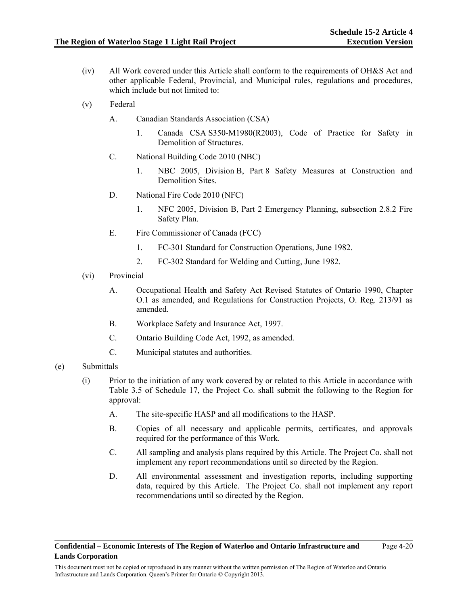- (iv) All Work covered under this Article shall conform to the requirements of OH&S Act and other applicable Federal, Provincial, and Municipal rules, regulations and procedures, which include but not limited to:
- (v) Federal
	- A. Canadian Standards Association (CSA)
		- 1. Canada CSA S350-M1980(R2003), Code of Practice for Safety in Demolition of Structures.
	- C. National Building Code 2010 (NBC)
		- 1. NBC 2005, Division B, Part 8 Safety Measures at Construction and Demolition Sites.
	- D. National Fire Code 2010 (NFC)
		- 1. NFC 2005, Division B, Part 2 Emergency Planning, subsection 2.8.2 Fire Safety Plan.
	- E. Fire Commissioner of Canada (FCC)
		- 1. FC-301 Standard for Construction Operations, June 1982.
		- 2. FC-302 Standard for Welding and Cutting, June 1982.
- (vi) Provincial
	- A. Occupational Health and Safety Act Revised Statutes of Ontario 1990, Chapter O.1 as amended, and Regulations for Construction Projects, O. Reg. 213/91 as amended.
	- B. Workplace Safety and Insurance Act, 1997.
	- C. Ontario Building Code Act, 1992, as amended.
	- C. Municipal statutes and authorities.
- (e) Submittals
	- (i) Prior to the initiation of any work covered by or related to this Article in accordance with Table 3.5 of Schedule 17, the Project Co. shall submit the following to the Region for approval:
		- A. The site-specific HASP and all modifications to the HASP.
		- B. Copies of all necessary and applicable permits, certificates, and approvals required for the performance of this Work.
		- C. All sampling and analysis plans required by this Article. The Project Co. shall not implement any report recommendations until so directed by the Region.
		- D. All environmental assessment and investigation reports, including supporting data, required by this Article. The Project Co. shall not implement any report recommendations until so directed by the Region.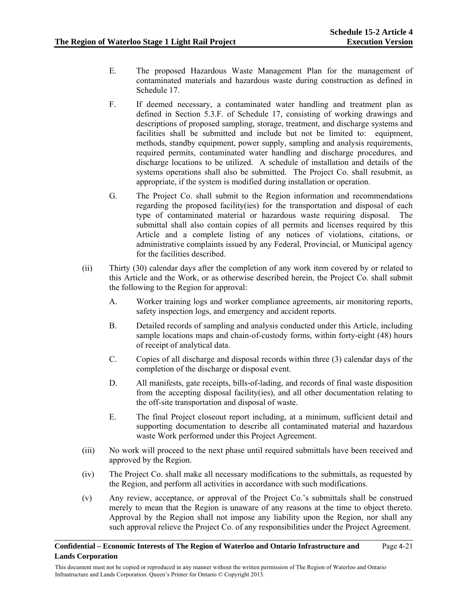- E. The proposed Hazardous Waste Management Plan for the management of contaminated materials and hazardous waste during construction as defined in Schedule 17.
- F. If deemed necessary, a contaminated water handling and treatment plan as defined in Section 5.3.F. of Schedule 17, consisting of working drawings and descriptions of proposed sampling, storage, treatment, and discharge systems and facilities shall be submitted and include but not be limited to: equipment, methods, standby equipment, power supply, sampling and analysis requirements, required permits, contaminated water handling and discharge procedures, and discharge locations to be utilized. A schedule of installation and details of the systems operations shall also be submitted. The Project Co. shall resubmit, as appropriate, if the system is modified during installation or operation.
- G. The Project Co. shall submit to the Region information and recommendations regarding the proposed facility(ies) for the transportation and disposal of each type of contaminated material or hazardous waste requiring disposal. The submittal shall also contain copies of all permits and licenses required by this Article and a complete listing of any notices of violations, citations, or administrative complaints issued by any Federal, Provincial, or Municipal agency for the facilities described.
- (ii) Thirty (30) calendar days after the completion of any work item covered by or related to this Article and the Work, or as otherwise described herein, the Project Co. shall submit the following to the Region for approval:
	- A. Worker training logs and worker compliance agreements, air monitoring reports, safety inspection logs, and emergency and accident reports.
	- B. Detailed records of sampling and analysis conducted under this Article, including sample locations maps and chain-of-custody forms, within forty-eight (48) hours of receipt of analytical data.
	- C. Copies of all discharge and disposal records within three (3) calendar days of the completion of the discharge or disposal event.
	- D. All manifests, gate receipts, bills-of-lading, and records of final waste disposition from the accepting disposal facility(ies), and all other documentation relating to the off-site transportation and disposal of waste.
	- E. The final Project closeout report including, at a minimum, sufficient detail and supporting documentation to describe all contaminated material and hazardous waste Work performed under this Project Agreement.
- (iii) No work will proceed to the next phase until required submittals have been received and approved by the Region.
- (iv) The Project Co. shall make all necessary modifications to the submittals, as requested by the Region, and perform all activities in accordance with such modifications.
- (v) Any review, acceptance, or approval of the Project Co.'s submittals shall be construed merely to mean that the Region is unaware of any reasons at the time to object thereto. Approval by the Region shall not impose any liability upon the Region, nor shall any such approval relieve the Project Co. of any responsibilities under the Project Agreement.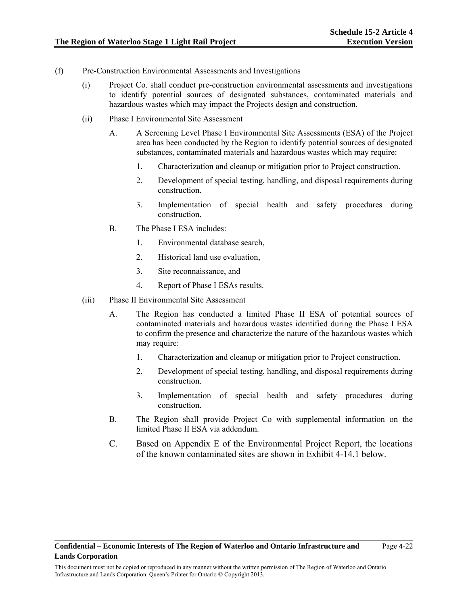- (f) Pre-Construction Environmental Assessments and Investigations
	- (i) Project Co. shall conduct pre-construction environmental assessments and investigations to identify potential sources of designated substances, contaminated materials and hazardous wastes which may impact the Projects design and construction.
	- (ii) Phase I Environmental Site Assessment
		- A. A Screening Level Phase I Environmental Site Assessments (ESA) of the Project area has been conducted by the Region to identify potential sources of designated substances, contaminated materials and hazardous wastes which may require:
			- 1. Characterization and cleanup or mitigation prior to Project construction.
			- 2. Development of special testing, handling, and disposal requirements during construction.
			- 3. Implementation of special health and safety procedures during construction.
		- B. The Phase I ESA includes:
			- 1. Environmental database search,
			- 2. Historical land use evaluation,
			- 3. Site reconnaissance, and
			- 4. Report of Phase I ESAs results.
	- (iii) Phase II Environmental Site Assessment
		- A. The Region has conducted a limited Phase II ESA of potential sources of contaminated materials and hazardous wastes identified during the Phase I ESA to confirm the presence and characterize the nature of the hazardous wastes which may require:
			- 1. Characterization and cleanup or mitigation prior to Project construction.
			- 2. Development of special testing, handling, and disposal requirements during construction.
			- 3. Implementation of special health and safety procedures during construction.
		- B. The Region shall provide Project Co with supplemental information on the limited Phase II ESA via addendum.
		- C. Based on Appendix E of the Environmental Project Report, the locations of the known contaminated sites are shown in Exhibit 4-14.1 below.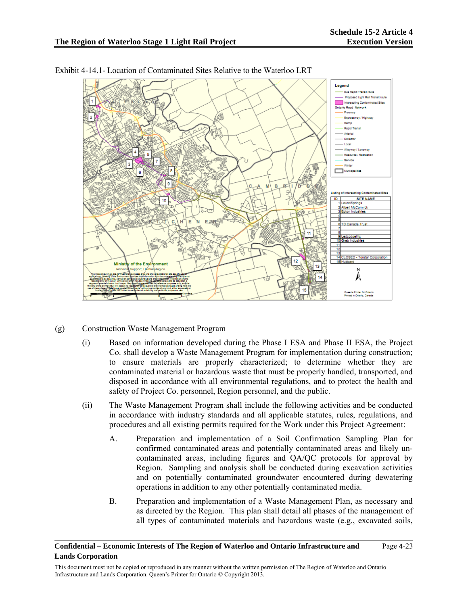



Exhibit 4-14.1- Location of Contaminated Sites Relative to the Waterloo LRT

- (g) Construction Waste Management Program
	- (i) Based on information developed during the Phase I ESA and Phase II ESA, the Project Co. shall develop a Waste Management Program for implementation during construction; to ensure materials are properly characterized; to determine whether they are contaminated material or hazardous waste that must be properly handled, transported, and disposed in accordance with all environmental regulations, and to protect the health and safety of Project Co. personnel, Region personnel, and the public.
	- (ii) The Waste Management Program shall include the following activities and be conducted in accordance with industry standards and all applicable statutes, rules, regulations, and procedures and all existing permits required for the Work under this Project Agreement:
		- A. Preparation and implementation of a Soil Confirmation Sampling Plan for confirmed contaminated areas and potentially contaminated areas and likely uncontaminated areas, including figures and QA/QC protocols for approval by Region. Sampling and analysis shall be conducted during excavation activities and on potentially contaminated groundwater encountered during dewatering operations in addition to any other potentially contaminated media.
		- B. Preparation and implementation of a Waste Management Plan, as necessary and as directed by the Region. This plan shall detail all phases of the management of all types of contaminated materials and hazardous waste (e.g., excavated soils,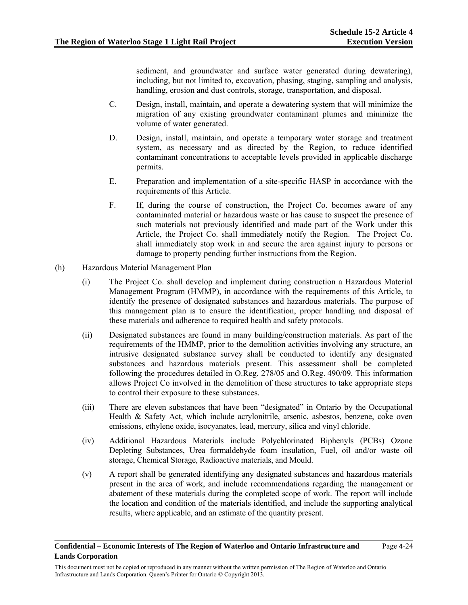sediment, and groundwater and surface water generated during dewatering), including, but not limited to, excavation, phasing, staging, sampling and analysis, handling, erosion and dust controls, storage, transportation, and disposal.

- C. Design, install, maintain, and operate a dewatering system that will minimize the migration of any existing groundwater contaminant plumes and minimize the volume of water generated.
- D. Design, install, maintain, and operate a temporary water storage and treatment system, as necessary and as directed by the Region, to reduce identified contaminant concentrations to acceptable levels provided in applicable discharge permits.
- E. Preparation and implementation of a site-specific HASP in accordance with the requirements of this Article.
- F. If, during the course of construction, the Project Co. becomes aware of any contaminated material or hazardous waste or has cause to suspect the presence of such materials not previously identified and made part of the Work under this Article, the Project Co. shall immediately notify the Region. The Project Co. shall immediately stop work in and secure the area against injury to persons or damage to property pending further instructions from the Region.
- (h) Hazardous Material Management Plan
	- (i) The Project Co. shall develop and implement during construction a Hazardous Material Management Program (HMMP), in accordance with the requirements of this Article, to identify the presence of designated substances and hazardous materials. The purpose of this management plan is to ensure the identification, proper handling and disposal of these materials and adherence to required health and safety protocols.
	- (ii) Designated substances are found in many building/construction materials. As part of the requirements of the HMMP, prior to the demolition activities involving any structure, an intrusive designated substance survey shall be conducted to identify any designated substances and hazardous materials present. This assessment shall be completed following the procedures detailed in O.Reg. 278/05 and O.Reg. 490/09. This information allows Project Co involved in the demolition of these structures to take appropriate steps to control their exposure to these substances.
	- (iii) There are eleven substances that have been "designated" in Ontario by the Occupational Health & Safety Act, which include acrylonitrile, arsenic, asbestos, benzene, coke oven emissions, ethylene oxide, isocyanates, lead, mercury, silica and vinyl chloride.
	- (iv) Additional Hazardous Materials include Polychlorinated Biphenyls (PCBs) Ozone Depleting Substances, Urea formaldehyde foam insulation, Fuel, oil and/or waste oil storage, Chemical Storage, Radioactive materials, and Mould.
	- (v) A report shall be generated identifying any designated substances and hazardous materials present in the area of work, and include recommendations regarding the management or abatement of these materials during the completed scope of work. The report will include the location and condition of the materials identified, and include the supporting analytical results, where applicable, and an estimate of the quantity present.